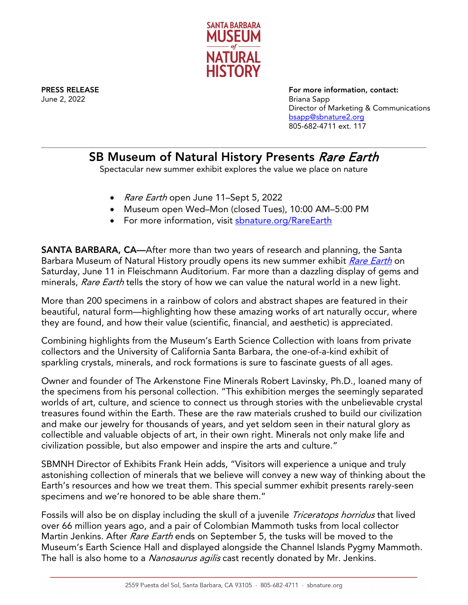

June 2, 2022 Briana Sapp

PRESS RELEASE FOR THE SERVICE SERVICE SERVICE SERVICE SERVICE SERVICE SERVICE SERVICE SERVICE SERVICE SERVICE S Director of Marketing & Communications [bsapp@sbnature2.org](mailto:bsapp@sbnature2.org) 805-682-4711 ext. 117

## SB Museum of Natural History Presents Rare Earth

Spectacular new summer exhibit explores the value we place on nature

- Rare Earth open June 11–Sept 5, 2022
- Museum open Wed–Mon (closed Tues), 10:00 AM–5:00 PM
- For more information, visit shature.org/RareEarth

SANTA BARBARA, CA—After more than two years of research and planning, the Santa Barbara Museum of Natural History proudly opens its new summer exhibit *[Rare Earth](https://www.sbnature.org/visit/exhibitions/84/rare-earth)* on Saturday, June 11 in Fleischmann Auditorium. Far more than a dazzling display of gems and minerals, Rare Earth tells the story of how we can value the natural world in a new light.

More than 200 specimens in a rainbow of colors and abstract shapes are featured in their beautiful, natural form—highlighting how these amazing works of art naturally occur, where they are found, and how their value (scientific, financial, and aesthetic) is appreciated.

Combining highlights from the Museum's Earth Science Collection with loans from private collectors and the University of California Santa Barbara, the one-of-a-kind exhibit of sparkling crystals, minerals, and rock formations is sure to fascinate guests of all ages.

Owner and founder of The Arkenstone Fine Minerals Robert Lavinsky, Ph.D., loaned many of the specimens from his personal collection. "This exhibition merges the seemingly separated worlds of art, culture, and science to connect us through stories with the unbelievable crystal treasures found within the Earth. These are the raw materials crushed to build our civilization and make our jewelry for thousands of years, and yet seldom seen in their natural glory as collectible and valuable objects of art, in their own right. Minerals not only make life and civilization possible, but also empower and inspire the arts and culture."

SBMNH Director of Exhibits Frank Hein adds, "Visitors will experience a unique and truly astonishing collection of minerals that we believe will convey a new way of thinking about the Earth's resources and how we treat them. This special summer exhibit presents rarely-seen specimens and we're honored to be able share them."

Fossils will also be on display including the skull of a juvenile *Triceratops horridus* that lived over 66 million years ago, and a pair of Colombian Mammoth tusks from local collector Martin Jenkins. After *Rare Earth* ends on September 5, the tusks will be moved to the Museum's Earth Science Hall and displayed alongside the Channel Islands Pygmy Mammoth. The hall is also home to a *Nanosaurus agilis* cast recently donated by Mr. Jenkins.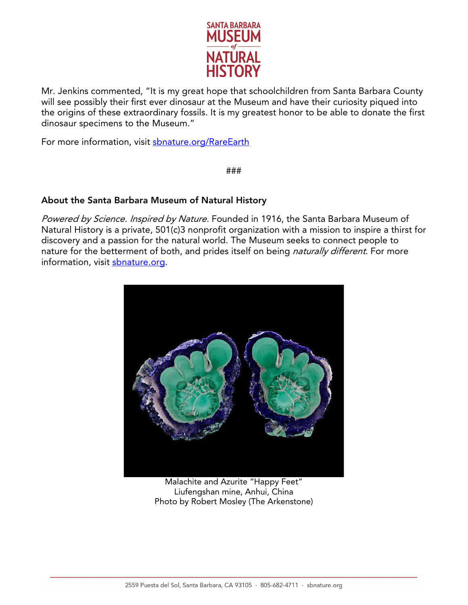

Mr. Jenkins commented, "It is my great hope that schoolchildren from Santa Barbara County will see possibly their first ever dinosaur at the Museum and have their curiosity piqued into the origins of these extraordinary fossils. It is my greatest honor to be able to donate the first dinosaur specimens to the Museum."

For more information, visit [sbnature.org/RareEarth](https://www.sbnature.org/visit/exhibitions/84/rare-earth)

###

## About the Santa Barbara Museum of Natural History

Powered by Science. Inspired by Nature. Founded in 1916, the Santa Barbara Museum of Natural History is a private, 501(c)3 nonprofit organization with a mission to inspire a thirst for discovery and a passion for the natural world. The Museum seeks to connect people to nature for the betterment of both, and prides itself on being naturally different. For more information, visit [sbnature.org.](http://www.sbnature.org/)



Malachite and Azurite "Happy Feet" Liufengshan mine, Anhui, China Photo by Robert Mosley (The Arkenstone)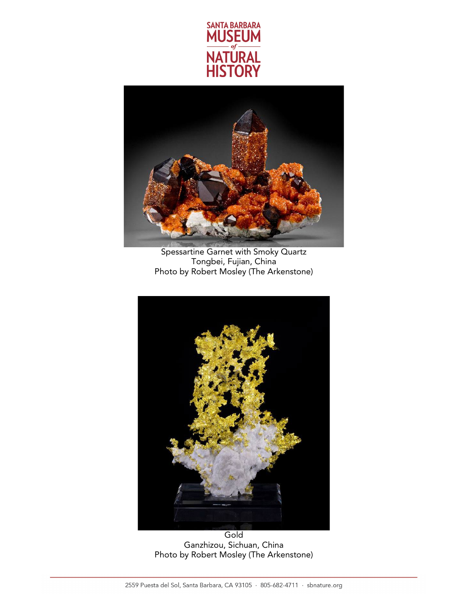



Spessartine Garnet with Smoky Quartz Tongbei, Fujian, China Photo by Robert Mosley (The Arkenstone)



**Gold** Ganzhizou, Sichuan, China Photo by Robert Mosley (The Arkenstone)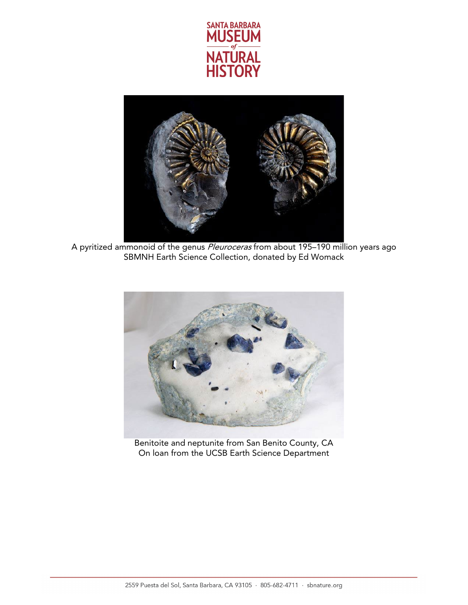



A pyritized ammonoid of the genus Pleuroceras from about 195-190 million years ago SBMNH Earth Science Collection, donated by Ed Womack



Benitoite and neptunite from San Benito County, CA On loan from the UCSB Earth Science Department